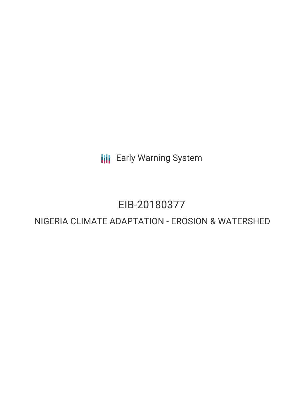**III** Early Warning System

# EIB-20180377

# NIGERIA CLIMATE ADAPTATION - EROSION & WATERSHED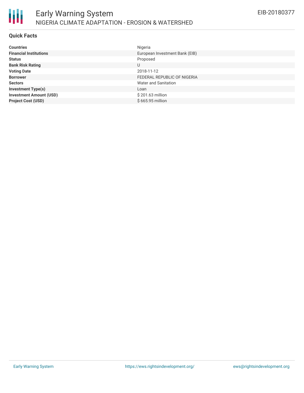

#### **Quick Facts**

| <b>Countries</b>               | Nigeria                        |
|--------------------------------|--------------------------------|
| <b>Financial Institutions</b>  | European Investment Bank (EIB) |
| <b>Status</b>                  | Proposed                       |
| <b>Bank Risk Rating</b>        | U                              |
| <b>Voting Date</b>             | 2018-11-12                     |
| <b>Borrower</b>                | FEDERAL REPUBLIC OF NIGERIA    |
| <b>Sectors</b>                 | Water and Sanitation           |
| <b>Investment Type(s)</b>      | Loan                           |
| <b>Investment Amount (USD)</b> | \$201.63 million               |
| <b>Project Cost (USD)</b>      | \$665.95 million               |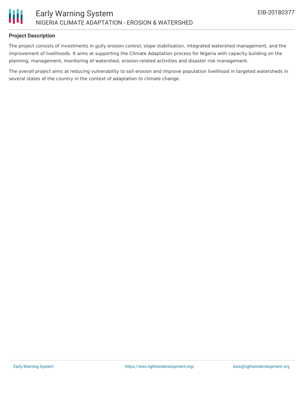

#### **Project Description**

The project consists of investments in gully erosion control, slope stabilisation, integrated watershed management, and the improvement of livelihoods. It aims at supporting the Climate Adaptation process for Nigeria with capacity building on the planning, management, monitoring of watershed, erosion-related activities and disaster risk management.

The overall project aims at reducing vulnerability to soil erosion and improve population livelihood in targeted watersheds in several states of the country in the context of adaptation to climate change.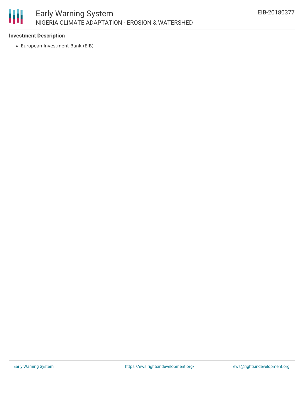

## **Investment Description**

European Investment Bank (EIB)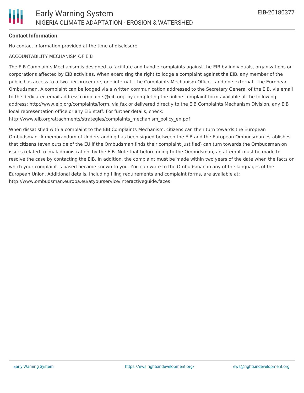#### **Contact Information**

No contact information provided at the time of disclosure

#### ACCOUNTABILITY MECHANISM OF EIB

The EIB Complaints Mechanism is designed to facilitate and handle complaints against the EIB by individuals, organizations or corporations affected by EIB activities. When exercising the right to lodge a complaint against the EIB, any member of the public has access to a two-tier procedure, one internal - the Complaints Mechanism Office - and one external - the European Ombudsman. A complaint can be lodged via a written communication addressed to the Secretary General of the EIB, via email to the dedicated email address complaints@eib.org, by completing the online complaint form available at the following address: http://www.eib.org/complaints/form, via fax or delivered directly to the EIB Complaints Mechanism Division, any EIB local representation office or any EIB staff. For further details, check:

http://www.eib.org/attachments/strategies/complaints\_mechanism\_policy\_en.pdf

When dissatisfied with a complaint to the EIB Complaints Mechanism, citizens can then turn towards the European Ombudsman. A memorandum of Understanding has been signed between the EIB and the European Ombudsman establishes that citizens (even outside of the EU if the Ombudsman finds their complaint justified) can turn towards the Ombudsman on issues related to 'maladministration' by the EIB. Note that before going to the Ombudsman, an attempt must be made to resolve the case by contacting the EIB. In addition, the complaint must be made within two years of the date when the facts on which your complaint is based became known to you. You can write to the Ombudsman in any of the languages of the European Union. Additional details, including filing requirements and complaint forms, are available at: http://www.ombudsman.europa.eu/atyourservice/interactiveguide.faces